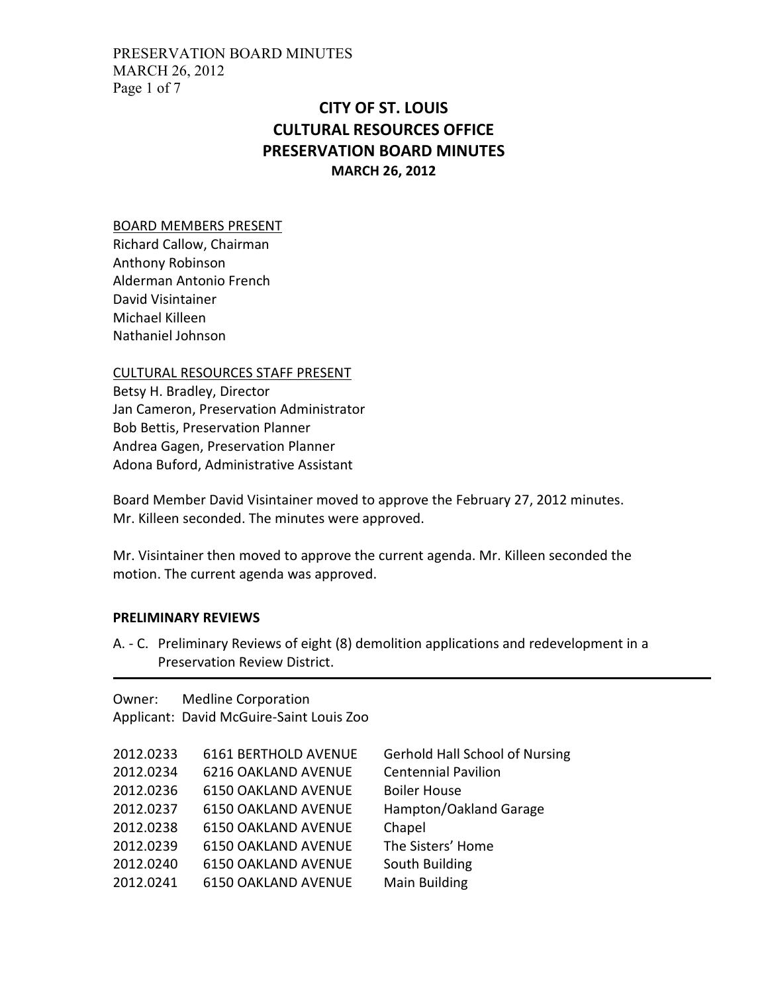PRESERVATION BOARD MINUTES MARCH 26, 2012 Page 1 of 7

# CITY OF ST. LOUIS CULTURAL RESOURCES OFFICE PRESERVATION BOARD MINUTES MARCH 26, 2012

#### BOARD MEMBERS PRESENT

Richard Callow, Chairman Anthony Robinson Alderman Antonio French David Visintainer Michael Killeen Nathaniel Johnson

## CULTURAL RESOURCES STAFF PRESENT

Betsy H. Bradley, Director Jan Cameron, Preservation Administrator Bob Bettis, Preservation Planner Andrea Gagen, Preservation Planner Adona Buford, Administrative Assistant

Board Member David Visintainer moved to approve the February 27, 2012 minutes. Mr. Killeen seconded. The minutes were approved.

Mr. Visintainer then moved to approve the current agenda. Mr. Killeen seconded the motion. The current agenda was approved.

### PRELIMINARY REVIEWS

A. - C. Preliminary Reviews of eight (8) demolition applications and redevelopment in a Preservation Review District.

Owner: Medline Corporation Applicant: David McGuire-Saint Louis Zoo

| 2012.0233 | 6161 BERTHOLD AVENUE       | <b>Gerhold Hall School of Nursing</b> |
|-----------|----------------------------|---------------------------------------|
| 2012.0234 | <b>6216 OAKLAND AVENUE</b> | <b>Centennial Pavilion</b>            |
| 2012.0236 | <b>6150 OAKLAND AVENUE</b> | <b>Boiler House</b>                   |
| 2012.0237 | <b>6150 OAKLAND AVENUE</b> | Hampton/Oakland Garage                |
| 2012.0238 | <b>6150 OAKLAND AVENUE</b> | Chapel                                |
| 2012.0239 | <b>6150 OAKLAND AVENUE</b> | The Sisters' Home                     |
| 2012.0240 | <b>6150 OAKLAND AVENUE</b> | South Building                        |
| 2012.0241 | <b>6150 OAKLAND AVENUE</b> | <b>Main Building</b>                  |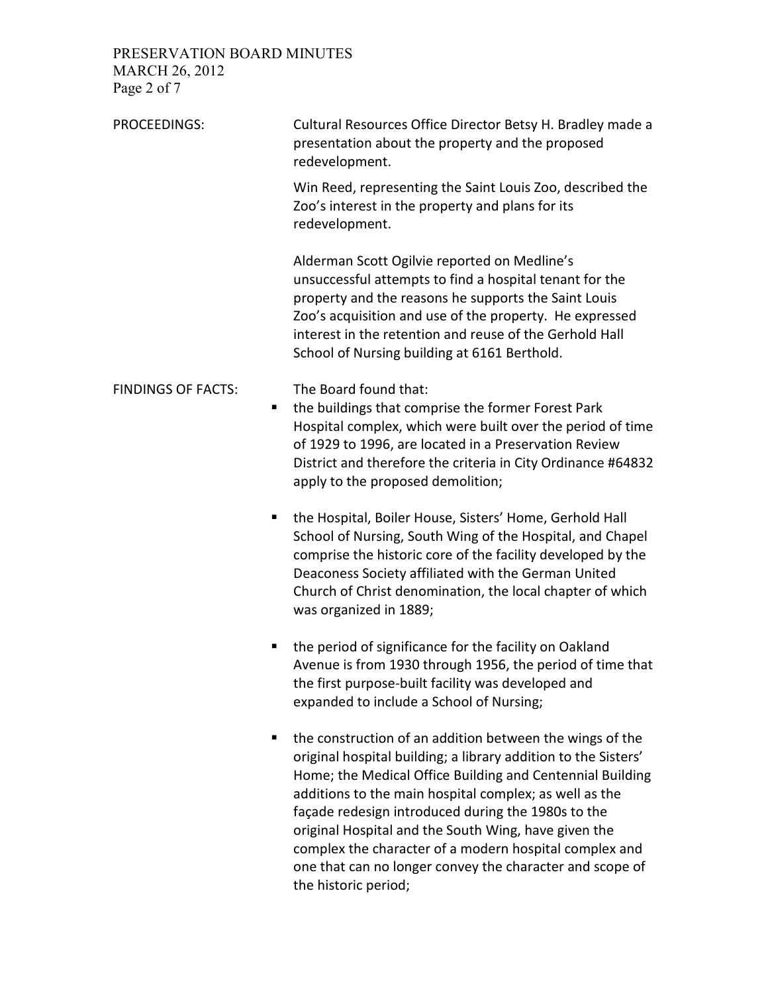PRESERVATION BOARD MINUTES MARCH 26, 2012 Page 2 of 7

PROCEEDINGS: Cultural Resources Office Director Betsy H. Bradley made a presentation about the property and the proposed redevelopment. Win Reed, representing the Saint Louis Zoo, described the Zoo's interest in the property and plans for its redevelopment. Alderman Scott Ogilvie reported on Medline's unsuccessful attempts to find a hospital tenant for the property and the reasons he supports the Saint Louis Zoo's acquisition and use of the property. He expressed interest in the retention and reuse of the Gerhold Hall School of Nursing building at 6161 Berthold. FINDINGS OF FACTS: The Board found that: the buildings that comprise the former Forest Park Hospital complex, which were built over the period of time of 1929 to 1996, are located in a Preservation Review District and therefore the criteria in City Ordinance #64832 apply to the proposed demolition; the Hospital, Boiler House, Sisters' Home, Gerhold Hall School of Nursing, South Wing of the Hospital, and Chapel comprise the historic core of the facility developed by the Deaconess Society affiliated with the German United Church of Christ denomination, the local chapter of which was organized in 1889; ■ the period of significance for the facility on Oakland Avenue is from 1930 through 1956, the period of time that the first purpose-built facility was developed and expanded to include a School of Nursing;  $\blacksquare$  the construction of an addition between the wings of the original hospital building; a library addition to the Sisters' Home; the Medical Office Building and Centennial Building additions to the main hospital complex; as well as the façade redesign introduced during the 1980s to the original Hospital and the South Wing, have given the complex the character of a modern hospital complex and one that can no longer convey the character and scope of

the historic period;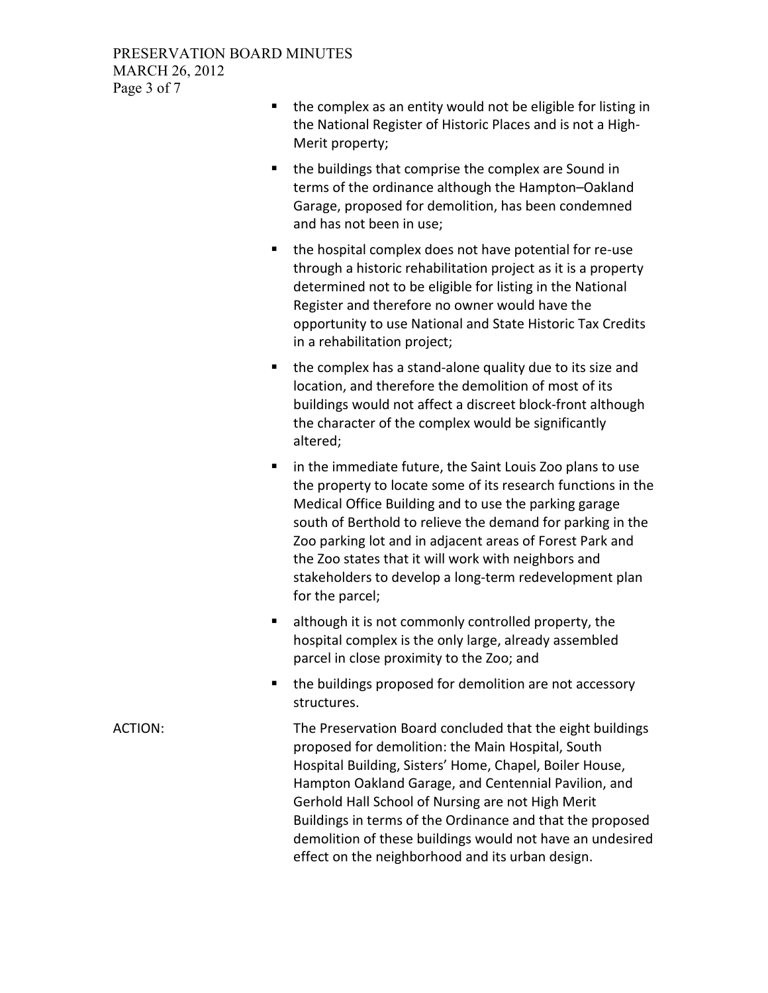- $\blacksquare$  the complex as an entity would not be eligible for listing in the National Register of Historic Places and is not a High-Merit property;
- the buildings that comprise the complex are Sound in terms of the ordinance although the Hampton–Oakland Garage, proposed for demolition, has been condemned and has not been in use;
- the hospital complex does not have potential for re-use through a historic rehabilitation project as it is a property determined not to be eligible for listing in the National Register and therefore no owner would have the opportunity to use National and State Historic Tax Credits in a rehabilitation project;
- $\blacksquare$  the complex has a stand-alone quality due to its size and location, and therefore the demolition of most of its buildings would not affect a discreet block-front although the character of the complex would be significantly altered;
- **I** in the immediate future, the Saint Louis Zoo plans to use the property to locate some of its research functions in the Medical Office Building and to use the parking garage south of Berthold to relieve the demand for parking in the Zoo parking lot and in adjacent areas of Forest Park and the Zoo states that it will work with neighbors and stakeholders to develop a long-term redevelopment plan for the parcel;
- **EXECT** although it is not commonly controlled property, the hospital complex is the only large, already assembled parcel in close proximity to the Zoo; and
- the buildings proposed for demolition are not accessory structures.

ACTION: The Preservation Board concluded that the eight buildings proposed for demolition: the Main Hospital, South Hospital Building, Sisters' Home, Chapel, Boiler House, Hampton Oakland Garage, and Centennial Pavilion, and Gerhold Hall School of Nursing are not High Merit Buildings in terms of the Ordinance and that the proposed demolition of these buildings would not have an undesired effect on the neighborhood and its urban design.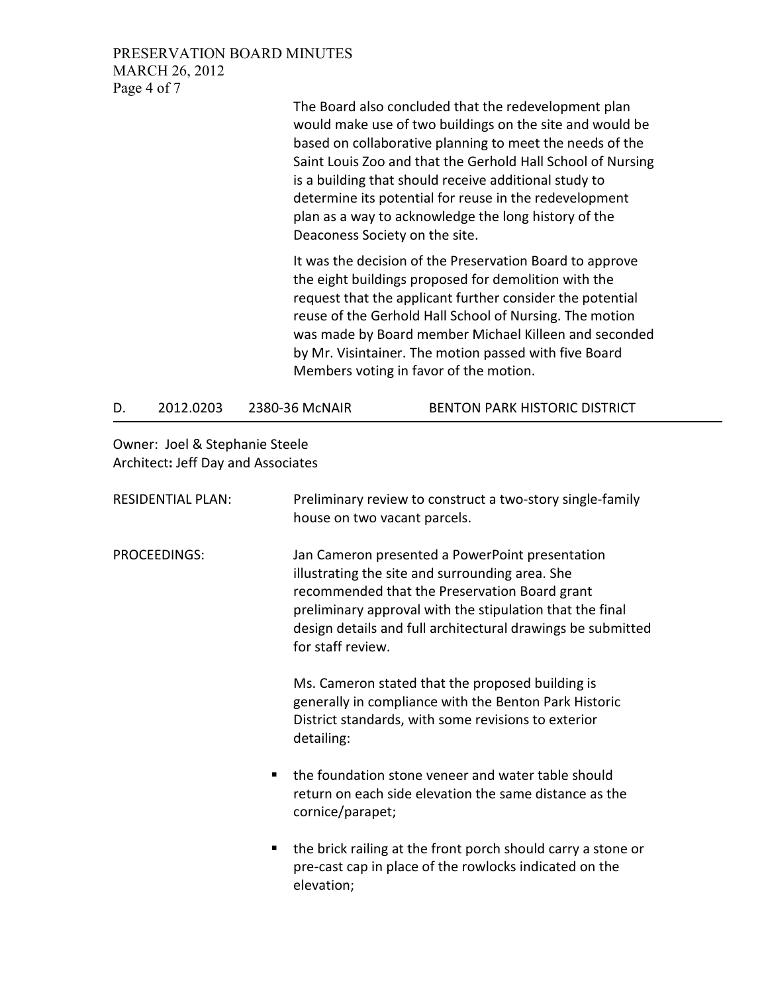PRESERVATION BOARD MINUTES MARCH 26, 2012 Page 4 of 7

> The Board also concluded that the redevelopment plan would make use of two buildings on the site and would be based on collaborative planning to meet the needs of the Saint Louis Zoo and that the Gerhold Hall School of Nursing is a building that should receive additional study to determine its potential for reuse in the redevelopment plan as a way to acknowledge the long history of the Deaconess Society on the site.

> It was the decision of the Preservation Board to approve the eight buildings proposed for demolition with the request that the applicant further consider the potential reuse of the Gerhold Hall School of Nursing. The motion was made by Board member Michael Killeen and seconded by Mr. Visintainer. The motion passed with five Board Members voting in favor of the motion.

D. 2012.0203 2380-36 McNAIR BENTON PARK HISTORIC DISTRICT

Owner: Joel & Stephanie Steele Architect: Jeff Day and Associates

| <b>RESIDENTIAL PLAN:</b> | Preliminary review to construct a two-story single-family<br>house on two vacant parcels.                                                                                                                                                                                                           |
|--------------------------|-----------------------------------------------------------------------------------------------------------------------------------------------------------------------------------------------------------------------------------------------------------------------------------------------------|
| PROCEEDINGS:             | Jan Cameron presented a PowerPoint presentation<br>illustrating the site and surrounding area. She<br>recommended that the Preservation Board grant<br>preliminary approval with the stipulation that the final<br>design details and full architectural drawings be submitted<br>for staff review. |
|                          | Ms. Cameron stated that the proposed building is<br>generally in compliance with the Benton Park Historic<br>District standards, with some revisions to exterior<br>detailing:                                                                                                                      |
|                          | the foundation stone veneer and water table should<br>return on each side elevation the same distance as the<br>cornice/parapet;                                                                                                                                                                    |
| п                        | the brick railing at the front porch should carry a stone or<br>pre-cast cap in place of the rowlocks indicated on the<br>elevation;                                                                                                                                                                |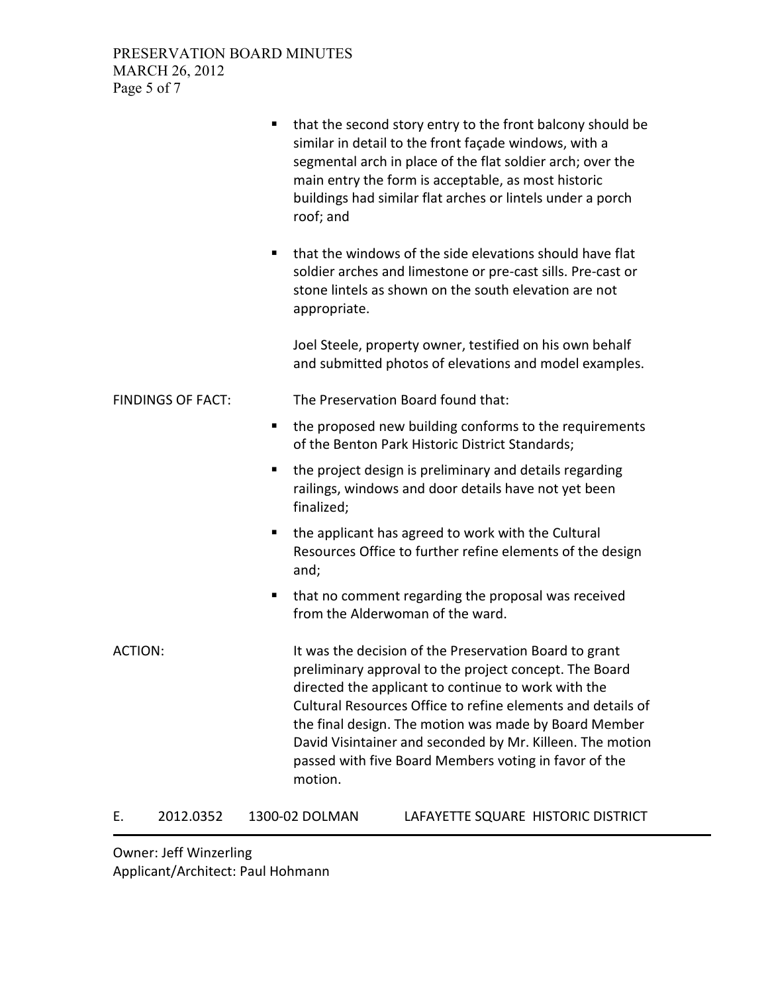|                          | that the second story entry to the front balcony should be<br>п,<br>similar in detail to the front façade windows, with a<br>segmental arch in place of the flat soldier arch; over the<br>main entry the form is acceptable, as most historic<br>buildings had similar flat arches or lintels under a porch<br>roof; and                                                                                                        |
|--------------------------|----------------------------------------------------------------------------------------------------------------------------------------------------------------------------------------------------------------------------------------------------------------------------------------------------------------------------------------------------------------------------------------------------------------------------------|
|                          | that the windows of the side elevations should have flat<br>٠<br>soldier arches and limestone or pre-cast sills. Pre-cast or<br>stone lintels as shown on the south elevation are not<br>appropriate.                                                                                                                                                                                                                            |
|                          | Joel Steele, property owner, testified on his own behalf<br>and submitted photos of elevations and model examples.                                                                                                                                                                                                                                                                                                               |
| <b>FINDINGS OF FACT:</b> | The Preservation Board found that:                                                                                                                                                                                                                                                                                                                                                                                               |
|                          | the proposed new building conforms to the requirements<br>п,<br>of the Benton Park Historic District Standards;                                                                                                                                                                                                                                                                                                                  |
|                          | the project design is preliminary and details regarding<br>п<br>railings, windows and door details have not yet been<br>finalized;                                                                                                                                                                                                                                                                                               |
|                          | the applicant has agreed to work with the Cultural<br>ш<br>Resources Office to further refine elements of the design<br>and;                                                                                                                                                                                                                                                                                                     |
|                          | that no comment regarding the proposal was received<br>ш<br>from the Alderwoman of the ward.                                                                                                                                                                                                                                                                                                                                     |
| <b>ACTION:</b>           | It was the decision of the Preservation Board to grant<br>preliminary approval to the project concept. The Board<br>directed the applicant to continue to work with the<br>Cultural Resources Office to refine elements and details of<br>the final design. The motion was made by Board Member<br>David Visintainer and seconded by Mr. Killeen. The motion<br>passed with five Board Members voting in favor of the<br>motion. |
| 2012.0352<br>Е.          | 1300-02 DOLMAN<br>LAFAYETTE SQUARE HISTORIC DISTRICT                                                                                                                                                                                                                                                                                                                                                                             |

Owner: Jeff Winzerling Applicant/Architect: Paul Hohmann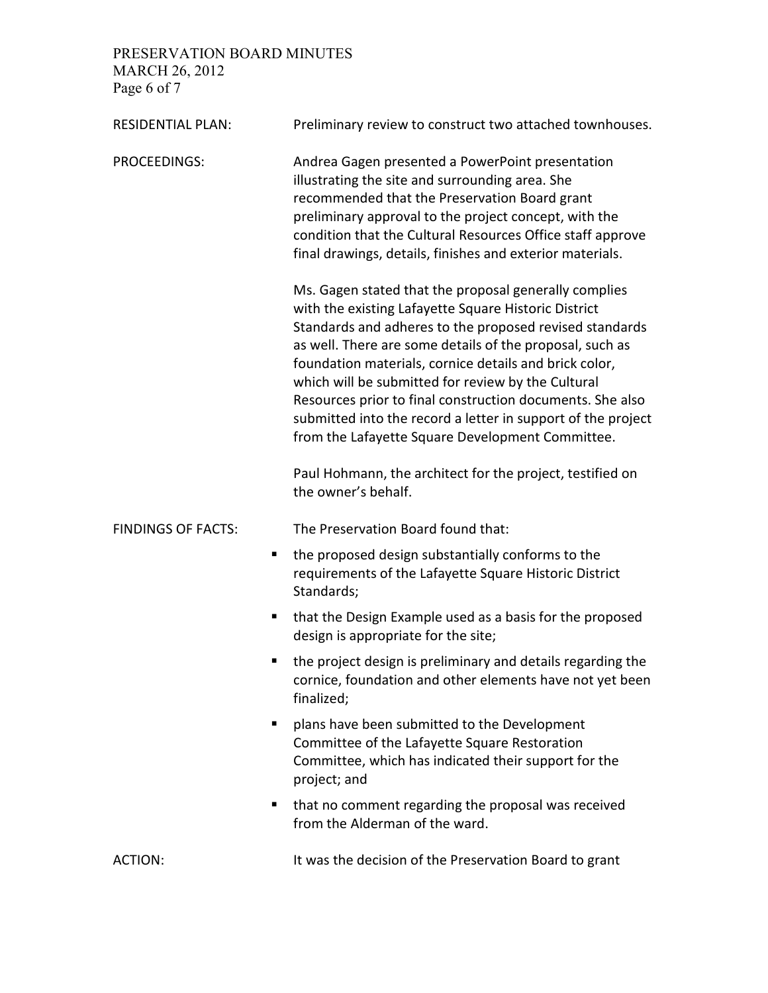PRESERVATION BOARD MINUTES MARCH 26, 2012 Page 6 of 7

| <b>RESIDENTIAL PLAN:</b>  | Preliminary review to construct two attached townhouses.                                                                                                                                                                                                                                                                                                                                                                                                                                                                              |
|---------------------------|---------------------------------------------------------------------------------------------------------------------------------------------------------------------------------------------------------------------------------------------------------------------------------------------------------------------------------------------------------------------------------------------------------------------------------------------------------------------------------------------------------------------------------------|
| PROCEEDINGS:              | Andrea Gagen presented a PowerPoint presentation<br>illustrating the site and surrounding area. She<br>recommended that the Preservation Board grant<br>preliminary approval to the project concept, with the<br>condition that the Cultural Resources Office staff approve<br>final drawings, details, finishes and exterior materials.                                                                                                                                                                                              |
|                           | Ms. Gagen stated that the proposal generally complies<br>with the existing Lafayette Square Historic District<br>Standards and adheres to the proposed revised standards<br>as well. There are some details of the proposal, such as<br>foundation materials, cornice details and brick color,<br>which will be submitted for review by the Cultural<br>Resources prior to final construction documents. She also<br>submitted into the record a letter in support of the project<br>from the Lafayette Square Development Committee. |
|                           | Paul Hohmann, the architect for the project, testified on<br>the owner's behalf.                                                                                                                                                                                                                                                                                                                                                                                                                                                      |
| <b>FINDINGS OF FACTS:</b> | The Preservation Board found that:                                                                                                                                                                                                                                                                                                                                                                                                                                                                                                    |
| ٠                         | the proposed design substantially conforms to the<br>requirements of the Lafayette Square Historic District<br>Standards;                                                                                                                                                                                                                                                                                                                                                                                                             |
| п                         | that the Design Example used as a basis for the proposed<br>design is appropriate for the site;                                                                                                                                                                                                                                                                                                                                                                                                                                       |
|                           | the project design is preliminary and details regarding the<br>cornice, foundation and other elements have not yet been<br>finalized;                                                                                                                                                                                                                                                                                                                                                                                                 |
| п                         | plans have been submitted to the Development<br>Committee of the Lafayette Square Restoration<br>Committee, which has indicated their support for the<br>project; and                                                                                                                                                                                                                                                                                                                                                                 |
| п                         | that no comment regarding the proposal was received<br>from the Alderman of the ward.                                                                                                                                                                                                                                                                                                                                                                                                                                                 |
| <b>ACTION:</b>            | It was the decision of the Preservation Board to grant                                                                                                                                                                                                                                                                                                                                                                                                                                                                                |